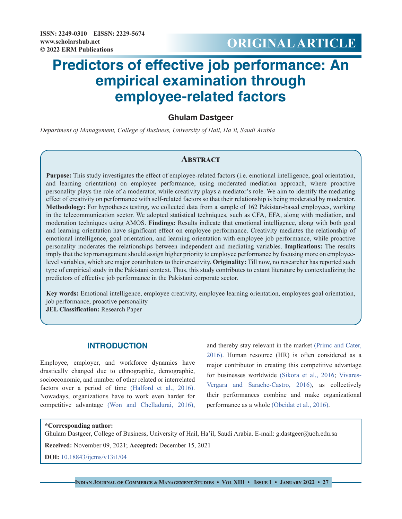# **Predictors of effective job performance: An empirical examination through employee-related factors**

# **Ghulam Dastgeer**

*Department of Management, College of Business, University of Hail, Ha'il, Saudi Arabia*

# **Abstract**

**Purpose:** This study investigates the effect of employee-related factors (i.e. emotional intelligence, goal orientation, and learning orientation) on employee performance, using moderated mediation approach, where proactive personality plays the role of a moderator, while creativity plays a mediator's role. We aim to identify the mediating effect of creativity on performance with self-related factors so that their relationship is being moderated by moderator. **Methodology:** For hypotheses testing, we collected data from a sample of 162 Pakistan-based employees, working in the telecommunication sector. We adopted statistical techniques, such as CFA, EFA, along with mediation, and moderation techniques using AMOS. **Findings:** Results indicate that emotional intelligence, along with both goal and learning orientation have significant effect on employee performance. Creativity mediates the relationship of emotional intelligence, goal orientation, and learning orientation with employee job performance, while proactive personality moderates the relationships between independent and mediating variables. **Implications:** The results imply that the top management should assign higher priority to employee performance by focusing more on employeelevel variables, which are major contributors to their creativity. **Originality:** Till now, no researcher has reported such type of empirical study in the Pakistani context. Thus, this study contributes to extant literature by contextualizing the predictors of effective job performance in the Pakistani corporate sector.

**Key words:** Emotional intelligence, employee creativity, employee learning orientation, employees goal orientation, job performance, proactive personality

**JEL Classification:** Research Paper

# **INTRODUCTION**

Employee, employer, and workforce dynamics have drastically changed due to ethnographic, demographic, socioeconomic, and number of other related or interrelated factors over a period of time (Halford et al., 2016). Nowadays, organizations have to work even harder for competitive advantage (Won and Chelladurai, 2016),

and thereby stay relevant in the market (Primc and Cater, 2016). Human resource (HR) is often considered as a major contributor in creating this competitive advantage for businesses worldwide [\(Sikora et al., 2016](#page-10-0); Vivares-Vergara and Sarache-Castro, 2016), as collectively their performances combine and make organizational performance as a whole [\(Obeidat et al., 2016\)](#page-10-1).

#### **\*Corresponding author:**

Ghulam Dastgeer, College of Business, University of Hail, Ha'il, Saudi Arabia. E-mail: g.dastgeer@uoh.edu.sa

**Received:** November 09, 2021; **Accepted:** December 15, 2021

**DOI:** [10.18843/ijcms/v13i1/04](http://dx.doi.org/10.18843/ijcms/v13i1/04)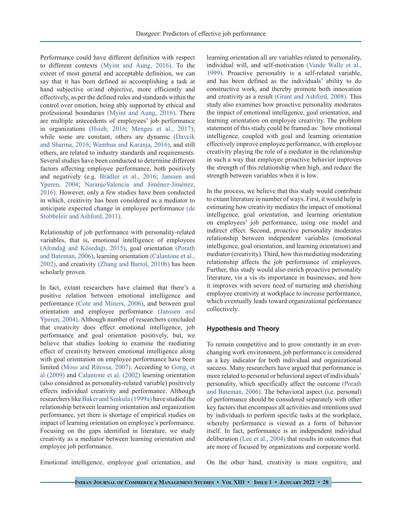Performance could have different definition with respect to different contexts [\(Myint and Aung, 2016\).](#page-10-2) To the extent of most general and acceptable definition, we can say that it has been defined as accomplishing a task at hand subjective or/and objective, more efficiently and effectively, as per the defined rules and standards within the control over emotion, being ably supported by ethical and professional boundaries [\(Myint and Aung, 2016\).](#page-10-2) There are multiple antecedents of employees' job performance in organizations [\(Hsieh, 2016;](#page-9-0) [Menges et al., 2017\)](#page-10-3); while some are constant, others are dynamic (Davcik and Sharma, 2016; Wambua and Karanja, 2016), and still others, are related to industry standards and requirements. Several studies have been conducted to determine different factors affecting employee performance, both positively and negatively (e.g. Bradler et al., 2016; Janssen and Yperen, 2004; NaranjoValencia and Jiménez-Jiménez, 2016). However, only a few studies have been conducted in which, creativity has been considered as a mediator to anticipate expected change in employee performance (de Stobbeleir and Ashford, 2011).

Relationship of job performance with personality-related variables, that is, emotional intelligence of employees (Altındağ and Kösedağı, 2015), goal orientation [\(Porath](#page-10-4) [and Bateman, 2006\)](#page-10-4), learning orientation [\(Calantone et al.,](#page-8-0) [2002\),](#page-8-0) and creativity (Zhang and Bartol, 2010b) has been scholarly proven.

In fact, extant researchers have claimed that there's a positive relation between emotional intelligence and performance [\(Cote and Miners, 2006\)](#page-8-1), and between goal orientation and employee performance (Janssen and Yperen, 2004). Although number of researchers concluded that creativity does effect emotional intelligence, job performance and goal orientation positively, but, we believe that studies looking to examine the mediating effect of creativity between emotional intelligence along with goal orientation on employee performance have been limited [\(Moss and Ritossa, 2007\).](#page-10-5) According to [Gong, et](#page-9-1)  [al \(2009\)](#page-9-1) and [Calantone et al. \(2002\)](#page-8-0) learning orientation (also considered as personality-related variable) positively effects individual creativity and performance. Although researchers like [Baker and Sinkula \(1999a\)](#page-8-2) have studied the relationship between learning orientation and organization performance, yet there is shortage of empirical studies on impact of learning orientation on employee's performance. Focusing on the gaps identified in literature, we study creativity as a mediator between learning orientation and employee job performance.

learning orientation all are variables related to personality, individual will, and self-motivation (Vande Walle et al., 1999). Proactive personality is a self-related variable, and has been defined as the individuals' ability to do constructive work, and thereby promote both innovation and creativity as a result [\(Grant and Ashford, 2008\)](#page-9-2). This study also examines how proactive personality moderates the impact of emotional intelligence, goal orientation, and learning orientation on employee creativity. The problem statement of this study could be framed as: 'how emotional intelligence, coupled with goal and learning orientation effectively improve employee performance, with employee creativity playing the role of a mediator in the relationship in such a way that employee proactive behavior improves the strength of this relationship when high, and reduce the strength between variables when it is low.

In the process, we believe that this study would contribute to extant literature in number of ways. First, it would help in estimating how creativity mediates the impact of emotional intelligence, goal orientation, and learning orientation on employees' job performance, using one model and indirect effect. Second, proactive personality moderates relationship between independent variables (emotional intelligence, goal orientation, and learning orientation) and mediator (creativity). Third, how this mediating moderating relationship affects the job performance of employees. Further, this study would also enrich proactive personality literature, vis a vis its importance in businesses, and how it improves with severe need of nurturing and cherishing employee creativity at workplace to increase performance, which eventually leads toward organizational performance collectively.

## **Hypothesis and Theory**

To remain competitive and to grow constantly in an everchanging work environment, job performance is considered as a key indicator for both individual and organizational success. Many researchers have argued that performance is more related to personal or behavioral aspect of individuals' personality, which specifically affect the outcome [\(Porath](#page-10-4)  [and Bateman, 2006\)](#page-10-4). The behavioral aspect (i.e. personal) of performance should be considered separately with other key factors that encompass all activities and intentions used by individuals to perform specific tasks at the workplace, whereby performance is viewed as a form of behavior itself. In fact, performance is an independent individual deliberation [\(Lee et al., 2004\)](#page-9-3) that results in outcomes that are more of focused by organizations and corporate world.

Emotional intelligence, employee goal orientation, and

On the other hand, creativity is more cognitive, and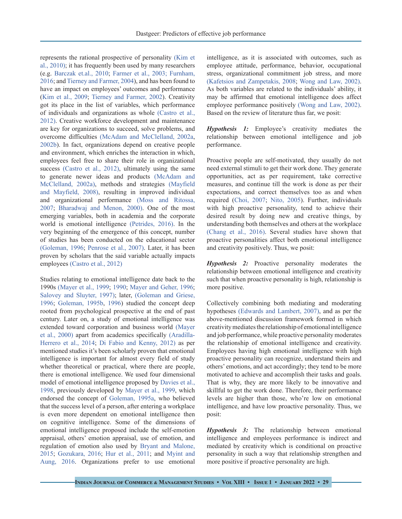represents the rational prospective of personality [\(Kim et](#page-9-4) [al., 2010\)](#page-9-4); it has frequently been used by many researchers (e.g. [Barczak et.al., 2010](#page-8-3); [Farmer et al., 2003;](#page-9-5) [Furnham,](#page-9-6) [2016](#page-9-6); and [Tierney and Farmer, 2004\)](#page-11-0), and has been found to have an impact on employees' outcomes and performance ([Kim et al., 2009](#page-9-7); [Tierney and Farmer, 2002](#page-11-1)). Creativity got its place in the list of variables, which performance of individuals and organizations as whole [\(Castro et al.,](#page-8-4) [2012\).](#page-8-4) Creative workforce development and maintenance are key for organizations to succeed, solve problems, and overcome difficulties (McAdam and McClelland, 2002a, [2002b](#page-10-6)). In fact, organizations depend on creative people and environment, which enriches the interaction in which, employees feel free to share their role in organizational success [\(Castro et al., 2012\)](#page-8-4), ultimately using the same to generate newer ideas and products (McAdam and McClelland, 2002a), methods and strategies [\(Mayfield](#page-10-7) [and Mayfield, 2008\),](#page-10-7) resulting in improved individual and organizational performance [\(Moss and Ritossa,](#page-10-5) [2007](#page-10-5); [Bharadwaj and Menon, 2000\).](#page-8-5) One of the most emerging variables, both in academia and the corporate world is emotional intelligence [\(Petrides, 2016\)](#page-10-8). In the very beginning of the emergence of this concept, number of studies has been conducted on the educational sector [\(Goleman, 1996](#page-9-8); [Penrose et al., 2007\)](#page-10-9). Later, it has been proven by scholars that the said variable actually impacts employees [\(Castro et al., 2012\)](#page-8-4)

Studies relating to emotional intelligence date back to the 1990s [\(Mayer et al., 1999](#page-10-10); [1990](#page-10-11); [Mayer and Geher, 1996](#page-10-12); [Salovey and Sluyter, 1997\);](#page-10-13) later, [\(Goleman and Griese,](#page-9-8) [1996](#page-9-8); [Goleman, 1995b](#page-9-9), [1996](#page-9-8)) studied the concept deep rooted from psychological prospective at the end of past century. Later on, a study of emotional intelligence was extended toward corporation and business world [\(Mayer](#page-10-14) [et al., 2000\)](#page-10-14) apart from academics specifically (Aradilla-Herrero et al., 2014; [Di Fabio and Kenny, 2012\)](#page-9-10) as per mentioned studies it's been scholarly proven that emotional intelligence is important for almost every field of study whether theoretical or practical, where there are people, there is emotional intelligence. We used four dimensional model of emotional intelligence proposed by [Davies et al.,](#page-9-11) [1998](#page-9-11), previously developed by [Mayer et al., 1999,](#page-10-10) which endorsed the concept of [Goleman, 1995a,](#page-9-9) who believed that the success level of a person, after entering a workplace is even more dependent on emotional intelligence then on cognitive intelligence. Some of the dimensions of emotional intelligence proposed include the self-emotion appraisal, others' emotion appraisal, use of emotion, and regulation of emotion also used by [Bryant and Malone,](#page-8-6) [2015](#page-8-6); [Gozukara, 2016;](#page-9-12) [Hur et al., 2011](#page-9-13); and [Myint and](#page-10-2) [Aung, 2016.](#page-10-2) Organizations prefer to use emotional

intelligence, as it is associated with outcomes, such as employee attitude, performance, behavior, occupational stress, organizational commitment job stress, and more [\(Kafetsios and Zampetakis, 2008](#page-9-14); Wong and Law, 2002). As both variables are related to the individuals' ability, it may be affirmed that emotional intelligence does affect employee performance positively (Wong and Law, 2002). Based on the review of literature thus far, we posit:

*Hypothesis 1:* Employee's creativity mediates the relationship between emotional intelligence and job performance.

Proactive people are self-motivated, they usually do not need external stimuli to get their work done. They generate opportunities, act as per requirement, take corrective measures, and continue till the work is done as per their expectations, and correct themselves too as and when required (Choi, 2007; Nito, 2005). Further, individuals with high proactive personality, tend to achieve their desired result by doing new and creative things, by understanding both themselves and others at the workplace [\(Chang et al., 2016\)](#page-8-7). Several studies have shown that proactive personalities affect both emotional intelligence and creativity positively. Thus, we posit:

*Hypothesis 2:* Proactive personality moderates the relationship between emotional intelligence and creativity such that when proactive personality is high, relationship is more positive.

Collectively combining both mediating and moderating hypotheses (Edwards and Lambert, 2007), and as per the above-mentioned discussion framework formed in which creativity mediates the relationship of emotional intelligence and job performance, while proactive personality moderates the relationship of emotional intelligence and creativity. Employees having high emotional intelligence with high proactive personality can recognize, understand theirs and others' emotions, and act accordingly; they tend to be more motivated to achieve and accomplish their tasks and goals. That is why, they are more likely to be innovative and skillful to get the work done. Therefore, their performance levels are higher than those, who're low on emotional intelligence, and have low proactive personality. Thus, we posit:

*Hypothesis 3:* The relationship between emotional intelligence and employees performance is indirect and mediated by creativity which is conditional on proactive personality in such a way that relationship strengthen and more positive if proactive personality are high.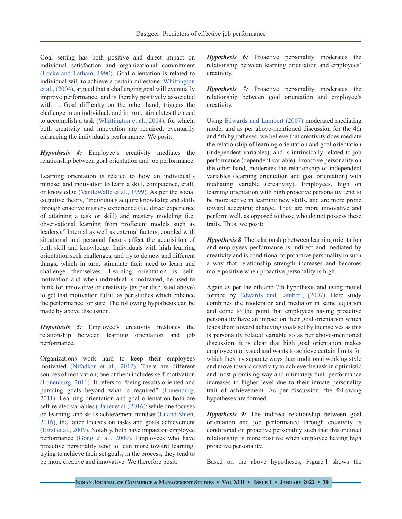Goal setting has both positive and direct impact on individual satisfaction and organizational commitment [\(Locke and Latham, 1990\)](#page-9-15). Goal orientation is related to individual will to achieve a certain milestone. Whittington et al., (2004), argued that a challenging goal will eventually improve performance, and is thereby positively associated with it. Goal difficulty on the other hand, triggers the challenge in an individual, and in turn, stimulates the need to accomplish a task (Whittington et al., 2004), for which, both creativity and innovation are required, eventually enhancing the individual's performance. We posit:

*Hypothesis 4:* Employee's creativity mediates the relationship between goal orientation and job performance.

Learning orientation is related to how an individual's mindset and motivation to learn a skill, competence, craft, or knowledge (VandeWalle et al., 1999). As per the social cognitive theory, "individuals acquire knowledge and skills through enactive mastery experience (i.e. direct experience of attaining a task or skill) and mastery modeling (i.e. observational learning from proficient models such as leaders)." Internal as well as external factors, coupled with situational and personal factors affect the acquisition of both skill and knowledge. Individuals with high learning orientation seek challenges, and try to do new and different things, which in turn, stimulate their need to learn and challenge themselves. Learning orientation is selfmotivation and when individual is motivated, he used to think for innovative or creativity (as per discussed above) to get that motivation fulfill as per studies which enhance the performance for sure. The following hypothesis can be made by above discussion.

*Hypothesis 5:* Employee's creativity mediates the relationship between learning orientation and job performance.

Organizations work hard to keep their employees motivated [\(Nifadkar et al., 2012\).](#page-10-15) There are different sources of motivation; one of them includes self-motivation [\(Lunenburg, 2011\).](#page-9-15) It refers to "being results oriented and pursuing goals beyond what is required" [\(Lunenburg,](#page-9-15)  [2011\)](#page-9-15). Learning orientation and goal orientation both are self-related variables [\(Bauer et al., 2016\);](#page-8-8) while one focuses on learning, and skills achievement mindset (Li and Shieh, 2016), the latter focuses on tasks and goals achievement (Hirst et al., 2009). Notably, both have impact on employee performance [\(Gong et al., 2009\)](#page-9-1). Employees who have proactive personality tend to lean more toward learning, trying to achieve their set goals; in the process, they tend to be more creative and innovative. We therefore posit:

*Hypothesis 6:* Proactive personality moderates the relationship between learning orientation and employees' creativity.

*Hypothesis 7:* Proactive personality moderates the relationship between goal orientation and employee's creativity.

Using Edwards and Lambert (2007) moderated mediating model and as per above-mentioned discussion for the 4th and 5th hypotheses, we believe that creativity does mediate the relationship of learning orientation and goal orientation (independent variables), and is intrinsically related to job performance (dependent variable). Proactive personality on the other hand, moderates the relationship of independent variables (learning orientation and goal orientation) with mediating variable (creativity). Employees, high on learning orientation with high proactive personality tend to be more active in learning new skills, and are more prone toward accepting change. They are more innovative and perform well, as opposed to those who do not possess these traits. Thus, we posit:

*Hypothesis 8*: The relationship between learning orientation and employees performance is indirect and mediated by creativity and is conditional to proactive personality in such a way that relationship strength increases and becomes more positive when proactive personality is high.

Again as per the 6th and 7th hypothesis and using model formed by Edwards and Lambert, (2007), Here study combines the moderator and mediator in same equation and come to the point that employees having proactive personality have an impact on their goal orientation which leads them toward achieving goals set by themselves as this is personality related variable so as per above-mentioned discussion, it is clear that high goal orientation makes employee motivated and wants to achieve certain limits for which they try separate ways than traditional working style and move toward creativity to achieve the task in optimistic and most promising way and ultimately their performance increases to higher level due to their inmate personality trait of achievement. As per discussion, the following hypotheses are formed.

*Hypothesis 9:* The indirect relationship between goal orientation and job performance through creativity is conditional on proactive personality such that this indirect relationship is more positive when employee having high proactive personality.

Based on the above hypotheses, Figure 1 shows the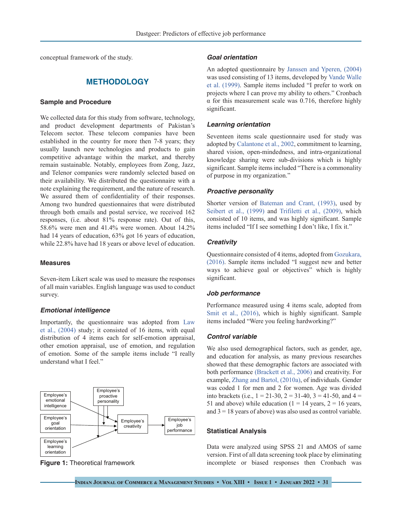conceptual framework of the study.

## **METHODOLOGY**

#### **Sample and Procedure**

We collected data for this study from software, technology, and product development departments of Pakistan's Telecom sector. These telecom companies have been established in the country for more then 7-8 years; they usually launch new technologies and products to gain competitive advantage within the market, and thereby remain sustainable. Notably, employees from Zong, Jazz, and Telenor companies were randomly selected based on their availability. We distributed the questionnaire with a note explaining the requirement, and the nature of research. We assured them of confidentiality of their responses. Among two hundred questionnaires that were distributed through both emails and postal service, we received 162 responses, (i.e. about 81% response rate). Out of this, 58.6% were men and 41.4% were women. About 14.2% had 14 years of education, 63% got 16 years of education, while 22.8% have had 18 years or above level of education.

## **Measures**

Seven-item Likert scale was used to measure the responses of all main variables. English language was used to conduct survey.

## *Emotional intelligence*

Importantly, the questionnaire was adopted from [Law](#page-9-16) [et al., \(2004\)](#page-9-16) study; it consisted of 16 items, with equal distribution of 4 items each for self-emotion appraisal, other emotion appraisal, use of emotion, and regulation of emotion. Some of the sample items include "I really understand what I feel."





### *Goal orientation*

An adopted questionnaire by Janssen and Yperen, (2004) was used consisting of 13 items, developed by Vande Walle et al. (1999). Sample items included "I prefer to work on projects where I can prove my ability to others." Cronbach α for this measurement scale was 0.716, therefore highly significant.

#### *Learning orientation*

Seventeen items scale questionnaire used for study was adopted by [Calantone et al., 2002,](#page-8-0) commitment to learning, shared vision, open-mindedness, and intra-organizational knowledge sharing were sub-divisions which is highly significant. Sample items included "There is a commonality of purpose in my organization."

#### *Proactive personality*

Shorter version of Bateman and Crant, (1993), used by [Seibert et al., \(1999\)](#page-10-16) and Trifiletti et al., (2009), which consisted of 10 items, and was highly significant. Sample items included "If I see something I don't like, I fix it."

#### *Creativity*

Questionnaire consisted of 4 items, adopted from [Gozukara,](#page-9-12)  [\(2016\).](#page-9-12) Sample items included "I suggest new and better ways to achieve goal or objectives" which is highly significant.

#### *Job performance*

Performance measured using 4 items scale, adopted from [Smit et al., \(2016\),](#page-10-17) which is highly significant. Sample items included "Were you feeling hardworking?"

#### *Control variable*

We also used demographical factors, such as gender, age, and education for analysis, as many previous researches showed that these demographic factors are associated with both performance [\(Brackett et al., 2006\)](#page-8-9) and creativity. For example, Zhang and Bartol, (2010a), of individuals. Gender was coded 1 for men and 2 for women. Age was divided into brackets (i.e.,  $1 = 21-30$ ,  $2 = 31-40$ ,  $3 = 41-50$ , and  $4 =$ 51 and above) while education ( $1 = 14$  years,  $2 = 16$  years, and  $3 = 18$  years of above) was also used as control variable.

#### **Statistical Analysis**

Data were analyzed using SPSS 21 and AMOS of same version. First of all data screening took place by eliminating incomplete or biased responses then Cronbach was

**Indian Journal of Commerce & Management Studies • Vol XIII • Issue 1 • January 2022 • 31**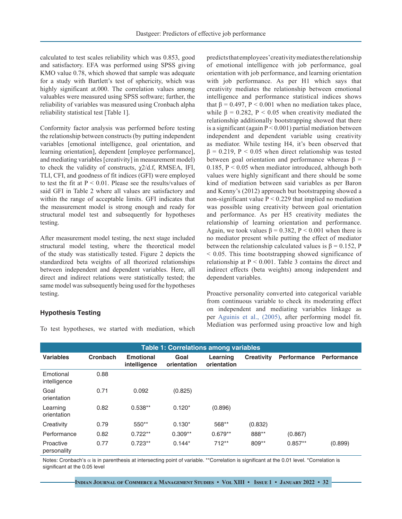calculated to test scales reliability which was 0.853, good and satisfactory. EFA was performed using SPSS giving KMO value 0.78, which showed that sample was adequate for a study with Bartlett's test of sphericity, which was highly significant at.000. The correlation values among valuables were measured using SPSS software; further, the reliability of variables was measured using Cronbach alpha reliability statistical test [Table 1].

Conformity factor analysis was performed before testing the relationship between constructs (by putting independent variables [emotional intelligence, goal orientation, and learning orientation], dependent [employee performance], and mediating variables [creativity] in measurement model) to check the validity of constructs,  $\chi$ 2/d.f, RMSEA, IFI, TLI, CFI, and goodness of fit indices (GFI) were employed to test the fit at  $P < 0.01$ . Please see the results/values of said GFI in Table 2 where all values are satisfactory and within the range of acceptable limits. GFI indicates that the measurement model is strong enough and ready for structural model test and subsequently for hypotheses testing.

After measurement model testing, the next stage included structural model testing, where the theoretical model of the study was statistically tested. Figure 2 depicts the standardized beta weights of all theorized relationships between independent and dependent variables. Here, all direct and indirect relations were statistically tested; the same model was subsequently being used for the hypotheses testing.

## **Hypothesis Testing**

To test hypotheses, we started with mediation, which

predicts that employees' creativity mediates the relationship of emotional intelligence with job performance, goal orientation with job performance, and learning orientation with job performance. As per H1 which says that creativity mediates the relationship between emotional intelligence and performance statistical indices shows that  $β = 0.497$ ,  $P < 0.001$  when no mediation takes place, while  $\beta = 0.282$ ,  $P < 0.05$  when creativity mediated the relationship additionally bootstrapping showed that there is a significant (again  $P < 0.001$ ) partial mediation between independent and dependent variable using creativity as mediator. While testing H4, it's been observed that  $β = 0.219$ ,  $P < 0.05$  when direct relationship was tested between goal orientation and performance whereas  $\beta$  = 0.185,  $P < 0.05$  when mediator introduced, although both values were highly significant and there should be some kind of mediation between said variables as per Baron and Kenny's (2012) approach but bootstrapping showed a non-significant value  $P < 0.229$  that implied no mediation was possible using creativity between goal orientation and performance. As per H5 creativity mediates the relationship of learning orientation and performance. Again, we took values  $\beta = 0.382$ ,  $P < 0.001$  when there is no mediator present while putting the effect of mediator between the relationship calculated values is  $\beta = 0.152$ , P < 0.05. This time bootstrapping showed significance of relationship at  $P < 0.001$ . Table 3 contains the direct and indirect effects (beta weights) among independent and dependent variables.

Proactive personality converted into categorical variable from continuous variable to check its moderating effect on independent and mediating variables linkage as per [Aguinis et al., \(2005\),](#page-8-10) after performing model fit. Mediation was performed using proactive low and high

| <b>Table 1: Correlations among variables</b> |          |                                  |                     |                         |                   |                    |                    |
|----------------------------------------------|----------|----------------------------------|---------------------|-------------------------|-------------------|--------------------|--------------------|
| <b>Variables</b>                             | Cronbach | <b>Emotional</b><br>intelligence | Goal<br>orientation | Learning<br>orientation | <b>Creativity</b> | <b>Performance</b> | <b>Performance</b> |
| Emotional<br>intelligence                    | 0.88     |                                  |                     |                         |                   |                    |                    |
| Goal<br>orientation                          | 0.71     | 0.092                            | (0.825)             |                         |                   |                    |                    |
| Learning<br>orientation                      | 0.82     | $0.538**$                        | $0.120*$            | (0.896)                 |                   |                    |                    |
| Creativity                                   | 0.79     | 550**                            | $0.130*$            | 568**                   | (0.832)           |                    |                    |
| Performance                                  | 0.82     | $0.722**$                        | $0.309**$           | $0.679**$               | 888**             | (0.867)            |                    |
| Proactive<br>personality                     | 0.77     | $0.723**$                        | $0.144*$            | $712**$                 | 809**             | $0.857**$          | (0.899)            |

Notes: Cronbach's α is in parenthesis at intersecting point of variable. \*\*Correlation is significant at the 0.01 level. \*Correlation is significant at the 0.05 level

**Indian Journal of Commerce & Management Studies • Vol XIII • Issue 1 • January 2022 • 32**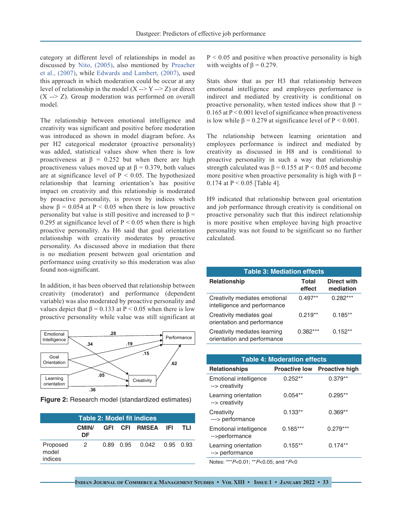category at different level of relationships in model as discussed by Nito, (2005), also mentioned by [Preacher](#page-10-18) [et al., \(2007\)](#page-10-18), while Edwards and Lambert, (2007), used this approach in which moderation could be occur at any level of relationship in the model  $(X \rightarrow Y \rightarrow Z)$  or direct  $(X \rightarrow Z)$ . Group moderation was performed on overall model.

The relationship between emotional intelligence and creativity was significant and positive before moderation was introduced as shown in model diagram before. As per H2 categorical moderator (proactive personality) was added, statistical values show when there is low proactiveness at  $\beta = 0.252$  but when there are high proactiveness values moved up at  $\beta = 0.379$ , both values are at significance level of  $P < 0.05$ . The hypothesized relationship that learning orientation's has positive impact on creativity and this relationship is moderated by proactive personality, is proven by indices which show  $\beta = 0.054$  at P < 0.05 when there is low proactive personality but value is still positive and increased to  $\beta$  = 0.295 at significance level of  $P < 0.05$  when there is high proactive personality. As H6 said that goal orientation relationship with creativity moderates by proactive personality. As discussed above in mediation that there is no mediation present between goal orientation and performance using creativity so this moderation was also found non-significant.

In addition, it has been observed that relationship between creativity (moderator) and performance (dependent variable) was also moderated by proactive personality and values depict that  $β = 0.133$  at  $P < 0.05$  when there is low proactive personality while value was still significant at



**Figure 2:** Research model (standardized estimates)

| <b>Table 2: Model fit indices</b> |                         |  |  |                           |  |  |
|-----------------------------------|-------------------------|--|--|---------------------------|--|--|
|                                   | CMIN/<br>DF             |  |  | GFI CFI RMSEA IFI TLI     |  |  |
| Proposed<br>model<br>indices      | $\overline{\mathbf{2}}$ |  |  | 0.89 0.95 0.042 0.95 0.93 |  |  |

 $P < 0.05$  and positive when proactive personality is high with weights of  $\beta = 0.279$ .

Stats show that as per H3 that relationship between emotional intelligence and employees performance is indirect and mediated by creativity is conditional on proactive personality, when tested indices show that  $\beta =$  $0.165$  at  $P < 0.001$  level of significance when proactiveness is low while  $\beta = 0.279$  at significance level of  $P < 0.001$ .

The relationship between learning orientation and employees performance is indirect and mediated by creativity as discussed in H8 and is conditional to proactive personality in such a way that relationship strength calculated was  $\beta = 0.155$  at P < 0.05 and become more positive when proactive personality is high with  $\beta =$ 0.174 at  $P < 0.05$  [Table 4].

H9 indicated that relationship between goal orientation and job performance through creativity is conditional on proactive personality such that this indirect relationship is more positive when employee having high proactive personality was not found to be significant so no further calculated.

| <b>Table 3: Mediation effects</b>                             |                        |                          |  |  |  |
|---------------------------------------------------------------|------------------------|--------------------------|--|--|--|
| <b>Relationship</b>                                           | <b>Total</b><br>effect | Direct with<br>mediation |  |  |  |
| Creativity mediates emotional<br>intelligence and performance | $0.497**$              | $0.282***$               |  |  |  |
| Creativity mediates goal<br>orientation and performance       | $0.219**$              | $0.185**$                |  |  |  |
| Creativity mediates learning<br>orientation and performance   | $0.382***$             | $0.152**$                |  |  |  |

| <b>Table 4: Moderation effects</b>       |            |                                     |  |  |  |
|------------------------------------------|------------|-------------------------------------|--|--|--|
| <b>Relationships</b>                     |            | <b>Proactive low Proactive high</b> |  |  |  |
| Emotional intelligence<br>--> creativity | $0.252**$  | $0.379**$                           |  |  |  |
| Learning orientation<br>--> creativity   | $0.054**$  | $0.295**$                           |  |  |  |
| Creativity<br>---> performance           | $0.133**$  | $0.369**$                           |  |  |  |
| Emotional intelligence<br>-->performance | $0.165***$ | $0.279***$                          |  |  |  |
| Learning orientation<br>--> performance  | $0.155**$  | $0.174**$                           |  |  |  |
|                                          |            |                                     |  |  |  |

Notes: \*\*\*P<0.01; \*\*P<0.05; and \*P<0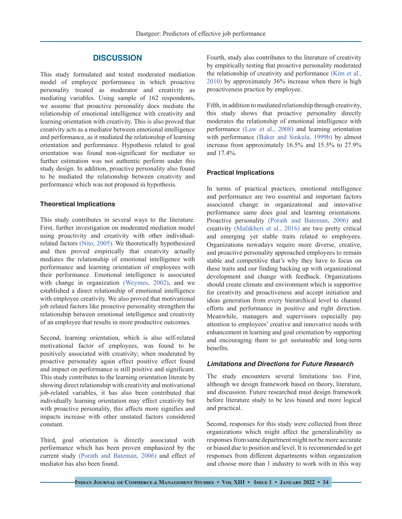# **DISCUSSION**

This study formulated and tested moderated mediation model of employee performance in which proactive personality treated as moderator and creativity as mediating variables. Using sample of 162 respondents, we assume that proactive personality does mediate the relationship of emotional intelligence with creativity and learning orientation with creativity. This is also proved that creativity acts as a mediator between emotional intelligence and performance, as it mediated the relationship of learning orientation and performance. Hypothesis related to goal orientation was found non-significant for mediator so further estimation was not authentic perform under this study design. In addition, proactive personality also found to be mediated the relationship between creativity and performance which was not proposed in hypothesis.

#### **Theoretical Implications**

This study contributes in several ways to the literature. First, further investigation on moderated mediation model using proactivity and creativity with other individualrelated factors (Nito, 2005). We theoretically hypothesized and then proved empirically that creativity actually mediates the relationship of emotional intelligence with performance and learning orientation of employees with their performance. Emotional intelligence is associated with change in organization (Weymes, 2002), and we established a direct relationship of emotional intelligence with employee creativity. We also proved that motivational job related factors like proactive personality strengthen the relationship between emotional intelligence and creativity of an employee that results in more productive outcomes.

Second, learning orientation, which is also self-related motivational factor of employees, was found to be positively associated with creativity; when moderated by proactive personality again effect positive effect found and impact on performance is still positive and significant. This study contributes to the learning orientation literate by showing direct relationship with creativity and motivational job-related variables, it has also been contributed that individually learning orientation may effect creativity but with proactive personality, this affects more signifies and impacts increase with other unstated factors considered constant.

Third, goal orientation is directly associated with performance which has been proven emphasized by the current study [\(Porath and Bateman, 2006\)](#page-10-4) and effect of mediator has also been found.

Fourth, study also contributes to the literature of creativity by empirically testing that proactive personality moderated the relationship of creativity and performance [\(Kim et al.,](#page-9-4)  [2010\)](#page-9-4) by approximately 36% increase when there is high proactiveness practice by employee.

Fifth, in addition to mediated relationship through creativity, this study shows that proactive personality directly moderates the relationship of emotional intelligence with performance [\(Law et al., 2008\)](#page-9-17) and learning orientation with performance [\(Baker and Sinkula, 1999b\)](#page-8-2) by almost increase from approximately 16.5% and 15.5% to 27.9% and 17.4%.

#### **Practical Implications**

In terms of practical practices, emotional intelligence and performance are two essential and important factors associated change in organizational and innovative performance same does goal and learning orientations. Proactive personality [\(Porath and Bateman, 2006\)](#page-10-4) and creativity [\(Mafakheri et al., 2016\)](#page-10-19) are two pretty critical and emerging yet stable traits related to employees. Organizations nowadays require more diverse, creative, and proactive personality approached employees to remain stable and competitive that's why they have to focus on these traits and our finding backing up with organizational development and change with feedback. Organizations should create climate and environment which is supportive for creativity and proactiveness and accept initiation and ideas generation from every hierarchical level to channel efforts and performance in positive and right direction. Meanwhile, managers and supervisors especially pay attention to employees' creative and innovative needs with enhancement in learning and goal orientation by supporting and encouraging them to get sustainable and long-term benefits.

## *Limitations and Directions for Future Research*

The study encounters several limitations too. First, although we design framework based on theory, literature, and discussion. Future researched must design framework before literature study to be less biased and more logical and practical.

Second, responses for this study were collected from three organizations which might affect the generalizability as responses from same department might not be more accurate or biased due to position and level. It is recommended to get responses from different departments within organization and choose more than 1 industry to work with in this way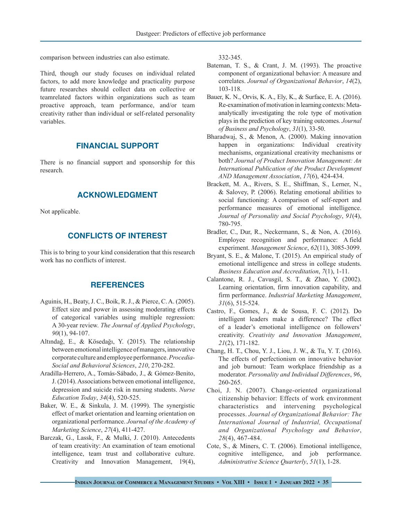comparison between industries can also estimate.

Third, though our study focuses on individual related factors, to add more knowledge and practicality purpose future researches should collect data on collective or teamrelated factors within organizations such as team proactive approach, team performance, and/or team creativity rather than individual or self-related personality variables.

## **FINANCIAL SUPPORT**

There is no financial support and sponsorship for this research.

# **ACKNOWLEDGMENT**

Not applicable.

# **CONFLICTS OF INTEREST**

This is to bring to your kind consideration that this research work has no conflicts of interest.

# **REFERENCES**

- <span id="page-8-10"></span>Aguinis, H., Beaty, J. C., Boik, R. J., & Pierce, C. A. (2005). Effect size and power in assessing moderating effects of categorical variables using multiple regression: A 30-year review. *The Journal of Applied Psychology*, *90*(1), 94-107.
- Altındağ, E., & Kösedağı, Y. (2015). The relationship between emotional intelligence of managers, innovative corporate culture and employee performance. *Procedia-Social and Behavioral Sciences*, *210*, 270-282.
- Aradilla-Herrero, A., Tomás-Sábado, J., & Gómez-Benito, J. (2014). Associations between emotional intelligence, depression and suicide risk in nursing students. *Nurse Education Today*, *34*(4), 520-525.
- <span id="page-8-2"></span>Baker, W. E., & Sinkula, J. M. (1999). The synergistic effect of market orientation and learning orientation on organizational performance. *Journal of the Academy of Marketing Science*, *27*(4), 411-427.
- <span id="page-8-3"></span>[Barczak, G., Lassk, F., & Mulki, J. \(2010\). Antecedents](Barczak, G., Lassk, F., & Mulki, J. (2010). Antecedents of team creativity: An examination of team e) [of team creativity: An examination of team emotional](Barczak, G., Lassk, F., & Mulki, J. (2010). Antecedents of team creativity: An examination of team e) [intelligence, team trust and collaborative culture.](Barczak, G., Lassk, F., & Mulki, J. (2010). Antecedents of team creativity: An examination of team e) [Creativity and Innovation Management, 19\(4\),](Barczak, G., Lassk, F., & Mulki, J. (2010). Antecedents of team creativity: An examination of team e)

[332-345.](Barczak, G., Lassk, F., & Mulki, J. (2010). Antecedents of team creativity: An examination of team e)

- Bateman, T. S., & Crant, J. M. (1993). The proactive component of organizational behavior: A measure and correlates. *Journal of Organizational Behavior*, *14*(2), 103-118.
- <span id="page-8-8"></span>Bauer, K. N., Orvis, K. A., Ely, K., & Surface, E. A. (2016). Re-examination of motivation in learning contexts: Metaanalytically investigating the role type of motivation plays in the prediction of key training outcomes. *Journal of Business and Psychology*, *31*(1), 33-50.
- <span id="page-8-5"></span>Bharadwaj, S., & Menon, A. (2000). Making innovation happen in organizations: Individual creativity mechanisms, organizational creativity mechanisms or both? *Journal of Product Innovation Management: An International Publication of the Product Development AND Management Association*, *17*(6), 424-434.
- <span id="page-8-9"></span>Brackett, M. A., Rivers, S. E., Shiffman, S., Lerner, N., & Salovey, P. (2006). Relating emotional abilities to social functioning: A comparison of self-report and performance measures of emotional intelligence. *Journal of Personality and Social Psychology*, *91*(4), 780-795.
- Bradler, C., Dur, R., Neckermann, S., & Non, A. (2016). Employee recognition and performance: A field experiment. *Management Science*, *62*(11), 3085-3099.
- <span id="page-8-6"></span>Bryant, S. E., & Malone, T. (2015). An empirical study of emotional intelligence and stress in college students. *Business Education and Accreditation*, *7*(1), 1-11.
- <span id="page-8-0"></span>Calantone, R. J., Cavusgil, S. T., & Zhao, Y. (2002). Learning orientation, firm innovation capability, and firm performance. *Industrial Marketing Management*, *31*(6), 515-524.
- <span id="page-8-4"></span>Castro, F., Gomes, J., & de Sousa, F. C. (2012). Do intelligent leaders make a difference? The effect of a leader's emotional intelligence on followers' creativity. *Creativity and Innovation Management*, *21*(2), 171-182.
- <span id="page-8-7"></span>Chang, H. T., Chou, Y. J., Liou, J. W., & Tu, Y. T. (2016). The effects of perfectionism on innovative behavior and job burnout: Team workplace friendship as a moderator. *Personality and Individual Differences*, *96*, 260-265.
- Choi, J. N. (2007). Change‐oriented organizational citizenship behavior: Effects of work environment characteristics and intervening psychological processes. *Journal of Organizational Behavior: The International Journal of Industrial, Occupational and Organizational Psychology and Behavior*, *28*(4), 467-484.
- <span id="page-8-1"></span>Cote, S., & Miners, C. T. (2006). Emotional intelligence, cognitive intelligence, and job performance. *Administrative Science Quarterly*, *51*(1), 1-28.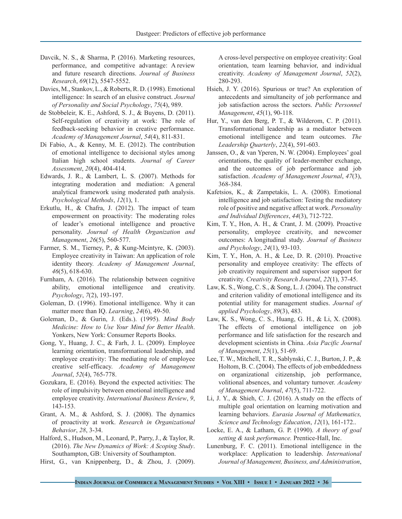- Davcik, N. S., & Sharma, P. (2016). Marketing resources, performance, and competitive advantage: A review and future research directions. *Journal of Business Research*, *69*(12), 5547-5552.
- <span id="page-9-11"></span>Davies, M., Stankov, L., & Roberts, R. D. (1998). Emotional intelligence: In search of an elusive construct. *Journal of Personality and Social Psychology*, *75*(4), 989.
- de Stobbeleir, K. E., Ashford, S. J., & Buyens, D. (2011). Self-regulation of creativity at work: The role of feedback-seeking behavior in creative performance. *Academy of Management Journal*, *54*(4), 811-831.
- <span id="page-9-10"></span>Di Fabio, A., & Kenny, M. E. (2012). The contribution of emotional intelligence to decisional styles among Italian high school students. *Journal of Career Assessment*, *20*(4), 404-414.
- Edwards, J. R., & Lambert, L. S. (2007). Methods for integrating moderation and mediation: A general analytical framework using moderated path analysis. *Psychological Methods*, *12*(1), 1.
- Erkutlu, H., & Chafra, J. (2012). The impact of team empowerment on proactivity: The moderating roles of leader's emotional intelligence and proactive personality. *Journal of Health Organization and Management*, *26*(5), 560-577.
- <span id="page-9-5"></span>Farmer, S. M., Tierney, P., & Kung-Mcintyre, K. (2003). Employee creativity in Taiwan: An application of role identity theory. *Academy of Management Journal*, *46*(5), 618-630.
- <span id="page-9-6"></span>Furnham, A. (2016). The relationship between cognitive ability, emotional intelligence and creativity. *Psychology*, *7*(2), 193-197.
- <span id="page-9-8"></span>Goleman, D. (1996). Emotional intelligence. Why it can matter more than IQ. *Learning*, *24*(6), 49-50.
- <span id="page-9-9"></span>Goleman, D., & Gurin, J. (Eds.). (1995). *Mind Body Medicine: How to Use Your Mind for Better Health*. Yonkers, New York: Consumer Reports Books.
- <span id="page-9-1"></span>Gong, Y., Huang, J. C., & Farh, J. L. (2009). Employee learning orientation, transformational leadership, and employee creativity: The mediating role of employee creative self-efficacy. *Academy of Management Journal*, *52*(4), 765-778.
- <span id="page-9-12"></span>Gozukara, E. (2016). Beyond the expected activities: The role of impulsivity between emotional intelligence and employee creativity. *International Business Review*, *9*, 143-153.
- <span id="page-9-2"></span>Grant, A. M., & Ashford, S. J. (2008). The dynamics of proactivity at work. *Research in Organizational Behavior*, *28*, 3-34.
- Halford, S., Hudson, M., Leonard, P., Parry, J., & Taylor, R. (2016). *The New Dynamics of Work: A Scoping Study*. Southampton, GB: University of Southampton.
- Hirst, G., van Knippenberg, D., & Zhou, J. (2009).

A cross-level perspective on employee creativity: Goal orientation, team learning behavior, and individual creativity. *Academy of Management Journal*, *52*(2), 280-293.

- <span id="page-9-0"></span>Hsieh, J. Y. (2016). Spurious or true? An exploration of antecedents and simultaneity of job performance and job satisfaction across the sectors. *Public Personnel Management*, *45*(1), 90-118.
- <span id="page-9-13"></span>Hur, Y., van den Berg, P. T., & Wilderom, C. P. (2011). Transformational leadership as a mediator between emotional intelligence and team outcomes. *The Leadership Quarterly*, *22*(4), 591-603.
- Janssen, O., & van Yperen, N. W. (2004). Employees' goal orientations, the quality of leader-member exchange, and the outcomes of job performance and job satisfaction. *Academy of Management Journal*, *47*(3), 368-384.
- <span id="page-9-14"></span>Kafetsios, K., & Zampetakis, L. A. (2008). Emotional intelligence and job satisfaction: Testing the mediatory role of positive and negative affect at work. *Personality and Individual Differences*, *44*(3), 712-722.
- <span id="page-9-7"></span>Kim, T. Y., Hon, A. H., & Crant, J. M. (2009). Proactive personality, employee creativity, and newcomer outcomes: A longitudinal study. *Journal of Business and Psychology*, *24*(1), 93-103.
- <span id="page-9-4"></span>Kim, T. Y., Hon, A. H., & Lee, D. R. (2010). Proactive personality and employee creativity: The effects of job creativity requirement and supervisor support for creativity. *Creativity Research Journal*, *22*(1), 37-45.
- <span id="page-9-16"></span>Law, K. S., Wong, C. S., & Song, L. J. (2004). The construct and criterion validity of emotional intelligence and its potential utility for management studies. *Journal of applied Psychology*, *89*(3), 483.
- <span id="page-9-17"></span>Law, K. S., Wong, C. S., Huang, G. H., & Li, X. (2008). The effects of emotional intelligence on job performance and life satisfaction for the research and development scientists in China. *Asia Pacific Journal of Management*, *25*(1), 51-69.
- <span id="page-9-3"></span>Lee, T. W., Mitchell, T. R., Sablynski, C. J., Burton, J. P., & Holtom, B. C. (2004). The effects of job embeddedness on organizational citizenship, job performance, volitional absences, and voluntary turnover. *Academy of Management Journal*, *47*(5), 711-722.
- Li, J. Y., & Shieh, C. J. (2016). A study on the effects of multiple goal orientation on learning motivation and learning behaviors. *Eurasia Journal of Mathematics, Science and Technology Education*, *12*(1), 161-172..
- <span id="page-9-15"></span>Locke, E. A., & Latham, G. P. (1990). *A theory of goal setting & task performance.* Prentice-Hall, Inc.
- Lunenburg, F. C. (2011). Emotional intelligence in the workplace: Application to leadership. *International Journal of Management, Business, and Administration*,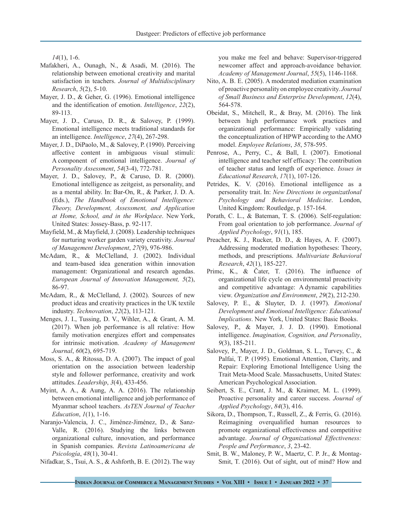*14*(1), 1-6.

- <span id="page-10-19"></span>Mafakheri, A., Ounagh, N., & Asadi, M. (2016). The relationship between emotional creativity and marital satisfaction in teachers. *Journal of Multidisciplinary Research*, *5*(2), 5-10.
- <span id="page-10-12"></span>Mayer, J. D., & Geher, G. (1996). Emotional intelligence and the identification of emotion. *Intelligence*, *22*(2), 89-113.
- <span id="page-10-10"></span>Mayer, J. D., Caruso, D. R., & Salovey, P. (1999). Emotional intelligence meets traditional standards for an intelligence. *Intelligence*, *27*(4), 267-298.
- <span id="page-10-11"></span>Mayer, J. D., DiPaolo, M., & Salovey, P. (1990). Perceiving affective content in ambiguous visual stimuli: A component of emotional intelligence. *Journal of Personality Assessment*, *54*(3-4), 772-781.
- <span id="page-10-14"></span>Mayer, J. D., Salovey, P., & Caruso, D. R. (2000). Emotional intelligence as zeitgeist, as personality, and as a mental ability. In: Bar-On, R., & Parker, J. D. A. (Eds.), *The Handbook of Emotional Intelligence: Theory, Development, Assessment, and Application at Home, School, and in the Workplace*. New York, United States: Jossey-Bass, p. 92-117.
- <span id="page-10-7"></span>Mayfield, M., & Mayfield, J. (2008). Leadership techniques for nurturing worker garden variety creativity. *Journal of Management Development*, *27*(9), 976-986.
- McAdam, R., & McClelland, J. (2002). Individual and team‐based idea generation within innovation management: Organizational and research agendas. *European Journal of Innovation Management, 5*(2), 86-97.
- <span id="page-10-6"></span>McAdam, R., & McClelland, J. (2002). Sources of new product ideas and creativity practices in the UK textile industry. *Technovation*, *22*(2), 113-121.
- <span id="page-10-3"></span>Menges, J. I., Tussing, D. V., Wihler, A., & Grant, A. M. (2017). When job performance is all relative: How family motivation energizes effort and compensates for intrinsic motivation. *Academy of Management Journal*, *60*(2), 695-719.
- <span id="page-10-5"></span>Moss, S. A., & Ritossa, D. A. (2007). The impact of goal orientation on the association between leadership style and follower performance, creativity and work attitudes. *Leadership*, *3*(4), 433-456.
- <span id="page-10-2"></span>Myint, A. A., & Aung, A. A. (2016). The relationship between emotional intelligence and job performance of Myanmar school teachers. *AsTEN Journal of Teacher Education*, *1*(1), 1-16.
- Naranjo-Valencia, J. C., Jiménez-Jiménez, D., & Sanz-Valle, R. (2016). Studying the links between organizational culture, innovation, and performance in Spanish companies. *Revista Latinoamericana de Psicología*, *48*(1), 30-41.
- <span id="page-10-15"></span>Nifadkar, S., Tsui, A. S., & Ashforth, B. E. (2012). The way

you make me feel and behave: Supervisor-triggered newcomer affect and approach-avoidance behavior. *Academy of Management Journal*, *55*(5), 1146-1168.

- Nito, A. B. E. (2005). A moderated mediation examination of proactive personality on employee creativity. *Journal of Small Business and Enterprise Development*, *12*(4), 564-578.
- <span id="page-10-1"></span>Obeidat, S., Mitchell, R., & Bray, M. (2016). The link between high performance work practices and organizational performance: Empirically validating the conceptualization of HPWP according to the AMO model. *Employee Relations*, *38*, 578-595.
- <span id="page-10-9"></span>Penrose, A., Perry, C., & Ball, I. (2007). Emotional intelligence and teacher self efficacy: The contribution of teacher status and length of experience. *Issues in Educational Research*, *17*(1), 107-126.
- <span id="page-10-8"></span>Petrides, K. V. (2016). Emotional intelligence as a personality trait. In: *New Directions in organizatIonal Psychology and Behavioral Medicine*. London, United Kingdom: Routledge, p. 157-164.
- <span id="page-10-4"></span>Porath, C. L., & Bateman, T. S. (2006). Self-regulation: From goal orientation to job performance. *Journal of Applied Psychology*, *91*(1), 185.
- <span id="page-10-18"></span>Preacher, K. J., Rucker, D. D., & Hayes, A. F. (2007). Addressing moderated mediation hypotheses: Theory, methods, and prescriptions. *Multivariate Behavioral Research*, *42*(1), 185-227.
- Primc, K., & Čater, T. (2016). The influence of organizational life cycle on environmental proactivity and competitive advantage: A dynamic capabilities view. *Organization and Environment*, *29*(2), 212-230.
- <span id="page-10-13"></span>Salovey, P. E., & Sluyter, D. J. (1997). *Emotional Development and Emotional Intelligence: Educational Implications*. New York, United States: Basic Books.
- Salovey, P., & Mayer, J. J. D. (1990). Emotional intelligence. *Imagination, Cognition, and Personality*, *9*(3), 185-211.
- Salovey, P., Mayer, J. D., Goldman, S. L., Turvey, C., & Palfai, T. P. (1995). Emotional Attention, Clarity, and Repair: Exploring Emotional Intelligence Using the Trait Meta-Mood Scale. Massachusetts, United States: American Psychological Association.
- <span id="page-10-16"></span>Seibert, S. E., Crant, J. M., & Kraimer, M. L. (1999). Proactive personality and career success. *Journal of Applied Psychology*, *84*(3), 416.
- <span id="page-10-0"></span>Sikora, D., Thompson, T., Russell, Z., & Ferris, G. (2016). Reimagining overqualified human resources to promote organizational effectiveness and competitive advantage. *Journal of Organizational Effectiveness: People and Performance*, *3*, 23-42.
- <span id="page-10-17"></span>Smit, B. W., Maloney, P. W., Maertz, C. P. Jr., & Montag-Smit, T. (2016). Out of sight, out of mind? How and